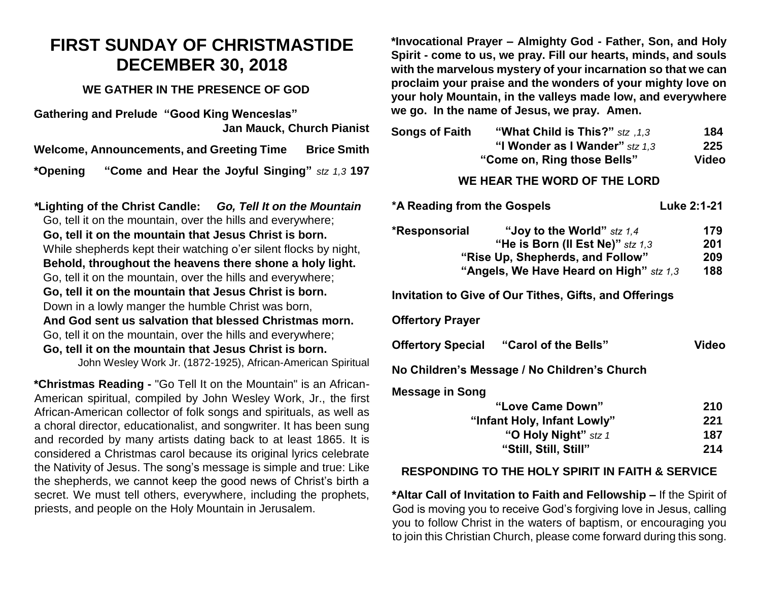# **FIRST SUNDAY OF CHRISTMASTIDE DECEMBER 30, 2018**

### **WE GATHER IN THE PRESENCE OF GOD**

**Gathering and Prelude "Good King Wenceslas" Jan Mauck, Church Pianist** 

**Welcome, Announcements, and Greeting Time Brice Smith**

**\*Opening "Come and Hear the Joyful Singing"** *stz 1,3* **197**

*\****Lighting of the Christ Candle:** *Go, Tell It on the Mountain* Go, tell it on the mountain, over the hills and everywhere; **Go, tell it on the mountain that Jesus Christ is born.** While shepherds kept their watching o'er silent flocks by night, **Behold, throughout the heavens there shone a holy light.** Go, tell it on the mountain, over the hills and everywhere; **Go, tell it on the mountain that Jesus Christ is born.** Down in a lowly manger the humble Christ was born, **And God sent us salvation that blessed Christmas morn.**  Go, tell it on the mountain, over the hills and everywhere; **Go, tell it on the mountain that Jesus Christ is born.**

John Wesley Work Jr. (1872-1925), African-American Spiritual

**\*Christmas Reading -** "Go Tell It on the Mountain" is an African-American spiritual, compiled by John Wesley Work, Jr., the first African-American collector of folk songs and spirituals, as well as a choral director, educationalist, and songwriter. It has been sung and recorded by many artists dating back to at least 1865. It is considered a Christmas carol because its original lyrics celebrate the Nativity of Jesus. The song's message is simple and true: Like the shepherds, we cannot keep the good news of Christ's birth a secret. We must tell others, everywhere, including the prophets, priests, and people on the Holy Mountain in Jerusalem.

**\*Invocational Prayer – Almighty God - Father, Son, and Holy Spirit - come to us, we pray. Fill our hearts, minds, and souls with the marvelous mystery of your incarnation so that we can proclaim your praise and the wonders of your mighty love on your holy Mountain, in the valleys made low, and everywhere we go. In the name of Jesus, we pray. Amen.** 

| <b>Songs of Faith</b>       | "What Child is This?" stz , 1,3 | 184          |
|-----------------------------|---------------------------------|--------------|
|                             | "I Wonder as I Wander" stz 1,3  | 225          |
| "Come on, Ring those Bells" |                                 | <b>Video</b> |
|                             |                                 |              |

#### **WE HEAR THE WORD OF THE LORD**

| *A Reading from the Gospels                                                                                                                                        | Luke 2:1-21              |  |  |  |
|--------------------------------------------------------------------------------------------------------------------------------------------------------------------|--------------------------|--|--|--|
| *Responsorial<br>"Joy to the World" $stz$ 1,4<br>"He is Born (II Est Ne)" $stz$ 1,3<br>"Rise Up, Shepherds, and Follow"<br>"Angels, We Have Heard on High" stz 1,3 | 179<br>201<br>209<br>188 |  |  |  |
| Invitation to Give of Our Tithes, Gifts, and Offerings                                                                                                             |                          |  |  |  |
| <b>Offertory Prayer</b>                                                                                                                                            |                          |  |  |  |
| Offertory Special "Carol of the Bells"                                                                                                                             | Video                    |  |  |  |
| No Children's Message / No Children's Church                                                                                                                       |                          |  |  |  |
| <b>Message in Song</b>                                                                                                                                             |                          |  |  |  |
| "Love Came Down"                                                                                                                                                   | 210                      |  |  |  |
| "Infant Holy, Infant Lowly"                                                                                                                                        | 221                      |  |  |  |
| "O Holy Night" $stz$ 1                                                                                                                                             | 187                      |  |  |  |
| "Still, Still, Still"                                                                                                                                              | 214                      |  |  |  |

#### **RESPONDING TO THE HOLY SPIRIT IN FAITH & SERVICE**

**\*Altar Call of Invitation to Faith and Fellowship –** If the Spirit of God is moving you to receive God's forgiving love in Jesus, calling you to follow Christ in the waters of baptism, or encouraging you to join this Christian Church, please come forward during this song.